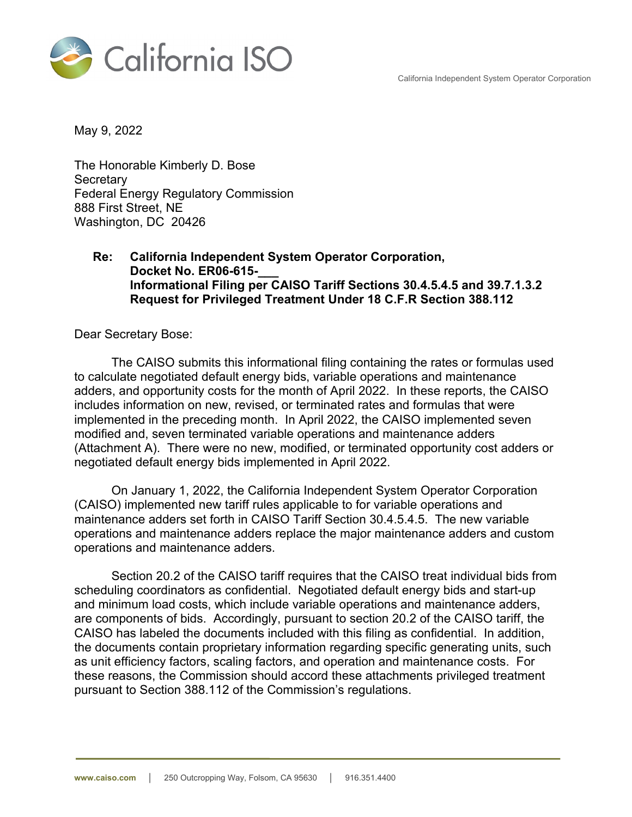California Independent System Operator Corporation



May 9, 2022

The Honorable Kimberly D. Bose **Secretary** Federal Energy Regulatory Commission 888 First Street, NE Washington, DC 20426

## **Re: California Independent System Operator Corporation, Docket No. ER06-615-\_\_\_ Informational Filing per CAISO Tariff Sections 30.4.5.4.5 and 39.7.1.3.2 Request for Privileged Treatment Under 18 C.F.R Section 388.112**

Dear Secretary Bose:

The CAISO submits this informational filing containing the rates or formulas used to calculate negotiated default energy bids, variable operations and maintenance adders, and opportunity costs for the month of April 2022. In these reports, the CAISO includes information on new, revised, or terminated rates and formulas that were implemented in the preceding month. In April 2022, the CAISO implemented seven modified and, seven terminated variable operations and maintenance adders (Attachment A). There were no new, modified, or terminated opportunity cost adders or negotiated default energy bids implemented in April 2022.

On January 1, 2022, the California Independent System Operator Corporation (CAISO) implemented new tariff rules applicable to for variable operations and maintenance adders set forth in CAISO Tariff Section 30.4.5.4.5. The new variable operations and maintenance adders replace the major maintenance adders and custom operations and maintenance adders.

Section 20.2 of the CAISO tariff requires that the CAISO treat individual bids from scheduling coordinators as confidential. Negotiated default energy bids and start-up and minimum load costs, which include variable operations and maintenance adders, are components of bids. Accordingly, pursuant to section 20.2 of the CAISO tariff, the CAISO has labeled the documents included with this filing as confidential. In addition, the documents contain proprietary information regarding specific generating units, such as unit efficiency factors, scaling factors, and operation and maintenance costs. For these reasons, the Commission should accord these attachments privileged treatment pursuant to Section 388.112 of the Commission's regulations.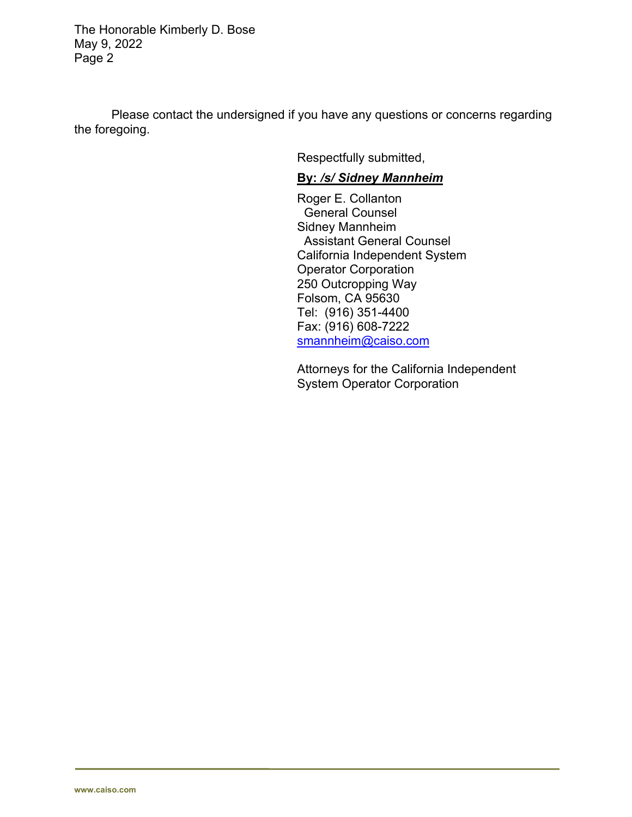The Honorable Kimberly D. Bose May 9, 2022 Page 2

Please contact the undersigned if you have any questions or concerns regarding the foregoing.

Respectfully submitted,

## **By:** */s/ Sidney Mannheim*

Roger E. Collanton General Counsel Sidney Mannheim Assistant General Counsel California Independent System Operator Corporation 250 Outcropping Way Folsom, CA 95630 Tel: (916) 351-4400 Fax: (916) 608-7222 smannheim@caiso.com

Attorneys for the California Independent System Operator Corporation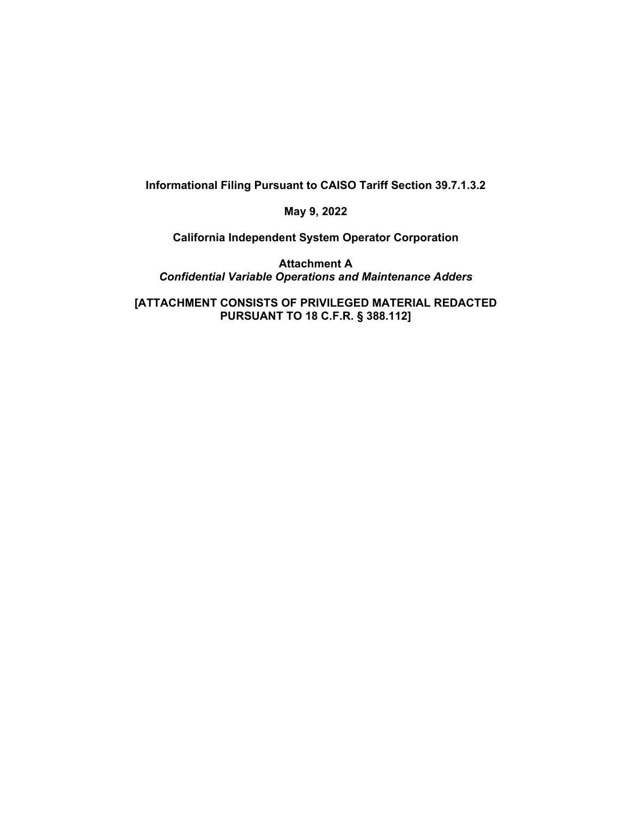**Informational Filing Pursuant to CAISO Tariff Section 39.7.1.3.2** 

**May 9, 2022** 

**California Independent System Operator Corporation** 

**Attachment A**  *Confidential Variable Operations and Maintenance Adders* 

**[ATTACHMENT CONSISTS OF PRIVILEGED MATERIAL REDACTED PURSUANT TO 18 C.F.R. § 388.112]**